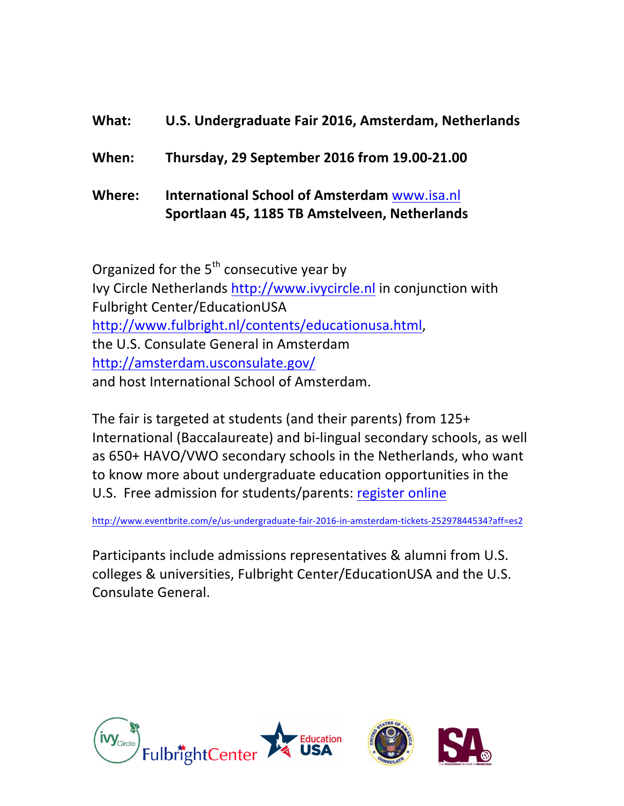#### **What: U.S. Undergraduate Fair 2016, Amsterdam, Netherlands**

**When: Thursday, 29 September 2016 from 19.00-21.00**

**Where: International School of Amsterdam** www.isa.nl **Sportlaan 45, 1185 TB Amstelveen, Netherlands**

Organized for the  $5<sup>th</sup>$  consecutive year by Ivy Circle Netherlands http://www.ivycircle.nl in conjunction with Fulbright Center/EducationUSA http://www.fulbright.nl/contents/educationusa.html, the U.S. Consulate General in Amsterdam http://amsterdam.usconsulate.gov/ and host International School of Amsterdam.

The fair is targeted at students (and their parents) from  $125+$ International (Baccalaureate) and bi-lingual secondary schools, as well as 650+ HAVO/VWO secondary schools in the Netherlands, who want to know more about undergraduate education opportunities in the U.S. Free admission for students/parents: register online

http://www.eventbrite.com/e/us-undergraduate-fair-2016-in-amsterdam-tickets-25297844534?aff=es2

Participants include admissions representatives & alumni from U.S. colleges & universities, Fulbright Center/EducationUSA and the U.S. Consulate General.

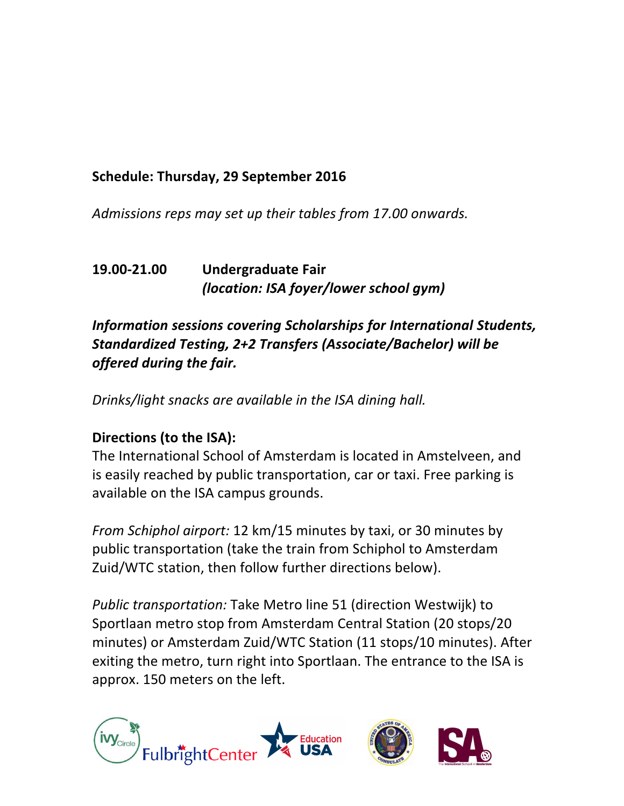## Schedule: Thursday, 29 September 2016

Admissions reps may set up their tables from 17.00 onwards.

#### **19.00-21.00 Undergraduate Fair** *(location: ISA foyer/lower school gym)*

# *Information sessions covering Scholarships for International Students, Standardized Testing, 2+2 Transfers (Associate/Bachelor) will be offered during the fair.*

*Drinks/light snacks are available in the ISA dining hall.* 

# **Directions (to the ISA):**

The International School of Amsterdam is located in Amstelveen, and is easily reached by public transportation, car or taxi. Free parking is available on the ISA campus grounds.

*From Schiphol airport:* 12 km/15 minutes by taxi, or 30 minutes by public transportation (take the train from Schiphol to Amsterdam Zuid/WTC station, then follow further directions below).

*Public transportation:* Take Metro line 51 (direction Westwijk) to Sportlaan metro stop from Amsterdam Central Station (20 stops/20 minutes) or Amsterdam Zuid/WTC Station (11 stops/10 minutes). After exiting the metro, turn right into Sportlaan. The entrance to the ISA is approx. 150 meters on the left.